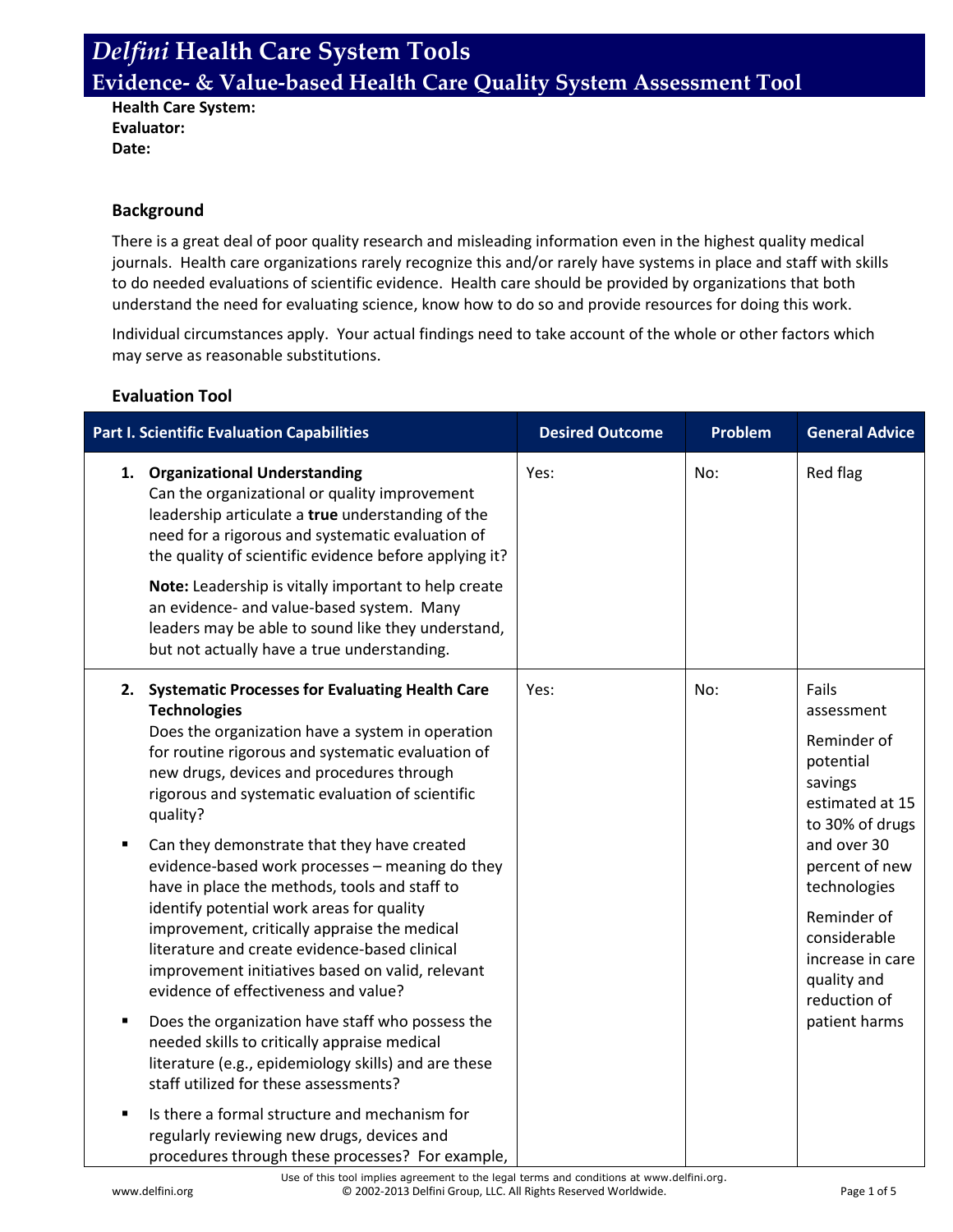**Health Care System: Evaluator: Date:**

#### **Background**

There is a great deal of poor quality research and misleading information even in the highest quality medical journals. Health care organizations rarely recognize this and/or rarely have systems in place and staff with skills to do needed evaluations of scientific evidence. Health care should be provided by organizations that both understand the need for evaluating science, know how to do so and provide resources for doing this work.

Individual circumstances apply. Your actual findings need to take account of the whole or other factors which may serve as reasonable substitutions.

#### **Evaluation Tool**

| <b>Part I. Scientific Evaluation Capabilities</b>                                                                                                                                                                                                                                                                                                                                                                                                                                                                                                                                                                                                                                                                                                                                                                                                                                                                                  | <b>Desired Outcome</b> | Problem | <b>General Advice</b>                                                                                                                                                                                                                                |
|------------------------------------------------------------------------------------------------------------------------------------------------------------------------------------------------------------------------------------------------------------------------------------------------------------------------------------------------------------------------------------------------------------------------------------------------------------------------------------------------------------------------------------------------------------------------------------------------------------------------------------------------------------------------------------------------------------------------------------------------------------------------------------------------------------------------------------------------------------------------------------------------------------------------------------|------------------------|---------|------------------------------------------------------------------------------------------------------------------------------------------------------------------------------------------------------------------------------------------------------|
| 1. Organizational Understanding<br>Can the organizational or quality improvement<br>leadership articulate a true understanding of the<br>need for a rigorous and systematic evaluation of<br>the quality of scientific evidence before applying it?<br>Note: Leadership is vitally important to help create<br>an evidence- and value-based system. Many<br>leaders may be able to sound like they understand,<br>but not actually have a true understanding.                                                                                                                                                                                                                                                                                                                                                                                                                                                                      | Yes:                   | No:     | Red flag                                                                                                                                                                                                                                             |
| <b>Systematic Processes for Evaluating Health Care</b><br>2.<br><b>Technologies</b><br>Does the organization have a system in operation<br>for routine rigorous and systematic evaluation of<br>new drugs, devices and procedures through<br>rigorous and systematic evaluation of scientific<br>quality?<br>Can they demonstrate that they have created<br>$\blacksquare$<br>evidence-based work processes - meaning do they<br>have in place the methods, tools and staff to<br>identify potential work areas for quality<br>improvement, critically appraise the medical<br>literature and create evidence-based clinical<br>improvement initiatives based on valid, relevant<br>evidence of effectiveness and value?<br>Does the organization have staff who possess the<br>п<br>needed skills to critically appraise medical<br>literature (e.g., epidemiology skills) and are these<br>staff utilized for these assessments? | Yes:                   | No:     | Fails<br>assessment<br>Reminder of<br>potential<br>savings<br>estimated at 15<br>to 30% of drugs<br>and over 30<br>percent of new<br>technologies<br>Reminder of<br>considerable<br>increase in care<br>quality and<br>reduction of<br>patient harms |
| Is there a formal structure and mechanism for<br>Ξ<br>regularly reviewing new drugs, devices and<br>procedures through these processes? For example,                                                                                                                                                                                                                                                                                                                                                                                                                                                                                                                                                                                                                                                                                                                                                                               |                        |         |                                                                                                                                                                                                                                                      |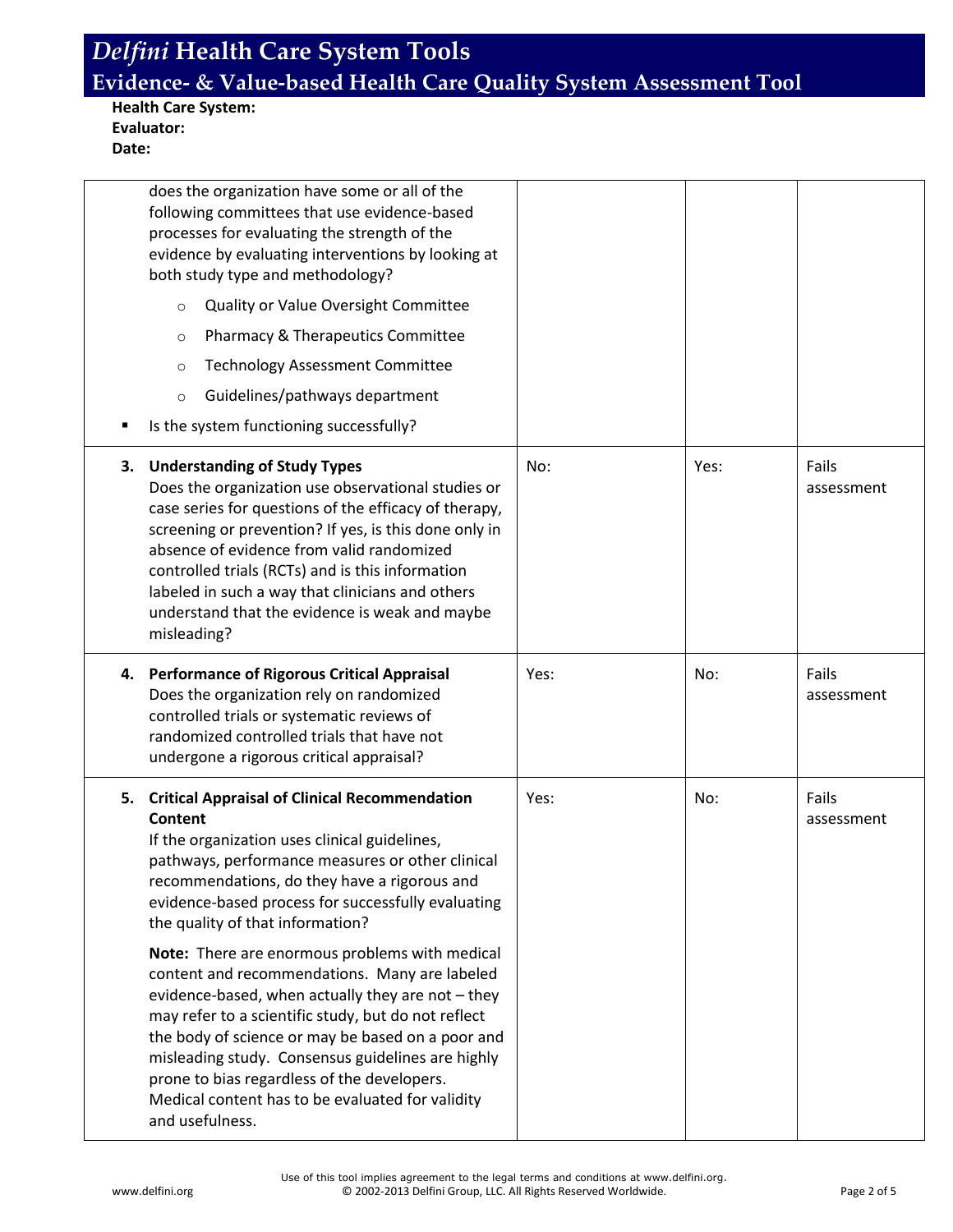**Health Care System: Evaluator: Date:**

|    | does the organization have some or all of the<br>following committees that use evidence-based<br>processes for evaluating the strength of the<br>evidence by evaluating interventions by looking at<br>both study type and methodology?<br>Quality or Value Oversight Committee<br>$\circ$<br>Pharmacy & Therapeutics Committee<br>$\circ$<br><b>Technology Assessment Committee</b><br>$\circ$<br>Guidelines/pathways department<br>$\circ$ |      |      |                     |
|----|----------------------------------------------------------------------------------------------------------------------------------------------------------------------------------------------------------------------------------------------------------------------------------------------------------------------------------------------------------------------------------------------------------------------------------------------|------|------|---------------------|
|    | Is the system functioning successfully?                                                                                                                                                                                                                                                                                                                                                                                                      |      |      |                     |
| 3. | <b>Understanding of Study Types</b><br>Does the organization use observational studies or<br>case series for questions of the efficacy of therapy,<br>screening or prevention? If yes, is this done only in<br>absence of evidence from valid randomized<br>controlled trials (RCTs) and is this information<br>labeled in such a way that clinicians and others<br>understand that the evidence is weak and maybe<br>misleading?            | No:  | Yes: | Fails<br>assessment |
|    | 4. Performance of Rigorous Critical Appraisal<br>Does the organization rely on randomized<br>controlled trials or systematic reviews of<br>randomized controlled trials that have not<br>undergone a rigorous critical appraisal?                                                                                                                                                                                                            | Yes: | No:  | Fails<br>assessment |
|    | 5. Critical Appraisal of Clinical Recommendation<br><b>Content</b><br>If the organization uses clinical guidelines,<br>pathways, performance measures or other clinical<br>recommendations, do they have a rigorous and<br>evidence-based process for successfully evaluating<br>the quality of that information?                                                                                                                            | Yes: | No:  | Fails<br>assessment |
|    | Note: There are enormous problems with medical<br>content and recommendations. Many are labeled<br>evidence-based, when actually they are not - they<br>may refer to a scientific study, but do not reflect<br>the body of science or may be based on a poor and<br>misleading study. Consensus guidelines are highly<br>prone to bias regardless of the developers.<br>Medical content has to be evaluated for validity                     |      |      |                     |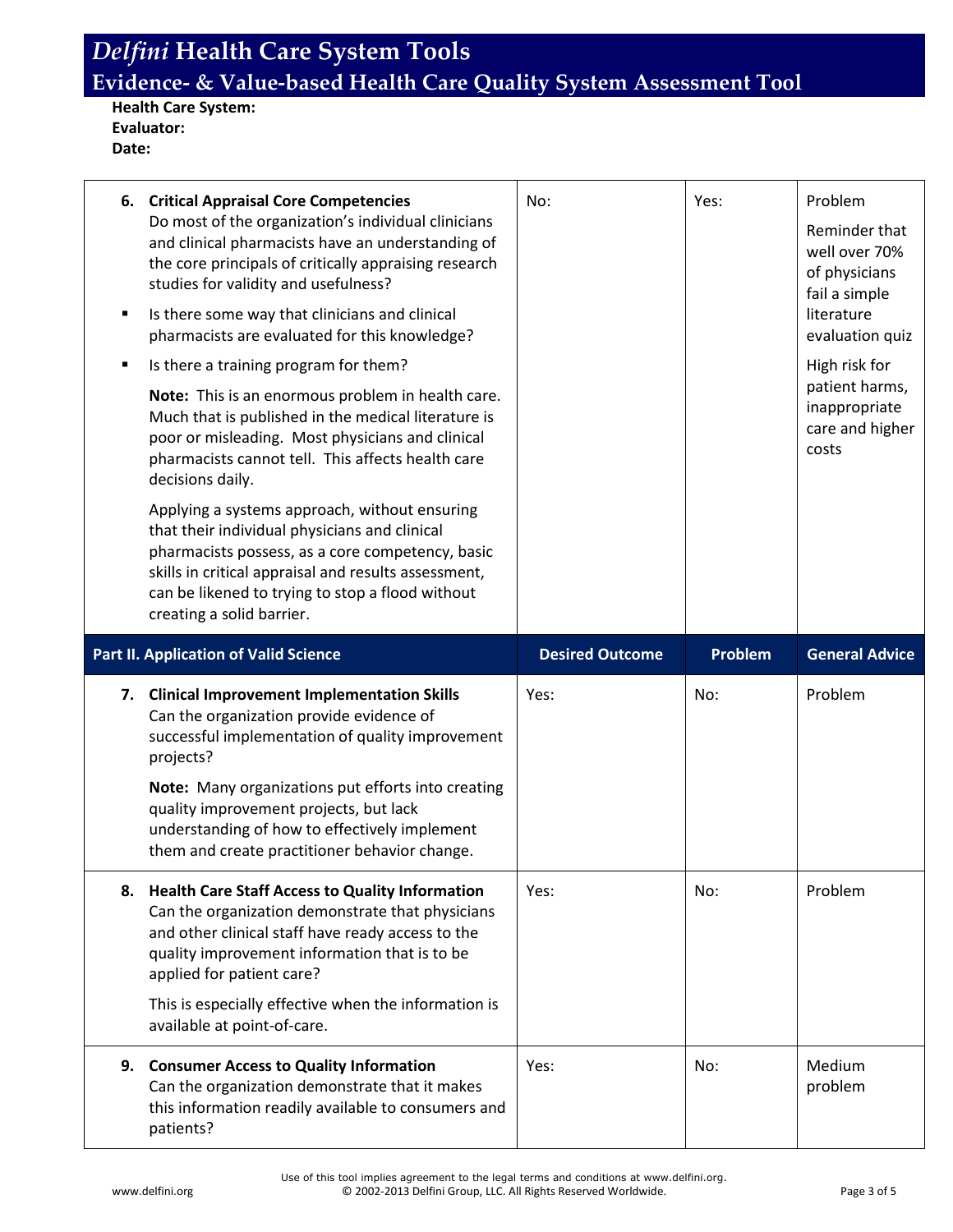**Health Care System: Evaluator: Date:**

| п | 6. Critical Appraisal Core Competencies<br>Do most of the organization's individual clinicians<br>and clinical pharmacists have an understanding of<br>the core principals of critically appraising research<br>studies for validity and usefulness?<br>Is there some way that clinicians and clinical<br>pharmacists are evaluated for this knowledge?<br>Is there a training program for them?<br>Note: This is an enormous problem in health care.<br>Much that is published in the medical literature is<br>poor or misleading. Most physicians and clinical<br>pharmacists cannot tell. This affects health care<br>decisions daily.<br>Applying a systems approach, without ensuring<br>that their individual physicians and clinical<br>pharmacists possess, as a core competency, basic<br>skills in critical appraisal and results assessment,<br>can be likened to trying to stop a flood without<br>creating a solid barrier. | No:                    | Yes:    | Problem<br>Reminder that<br>well over 70%<br>of physicians<br>fail a simple<br>literature<br>evaluation quiz<br>High risk for<br>patient harms,<br>inappropriate<br>care and higher<br>costs |
|---|------------------------------------------------------------------------------------------------------------------------------------------------------------------------------------------------------------------------------------------------------------------------------------------------------------------------------------------------------------------------------------------------------------------------------------------------------------------------------------------------------------------------------------------------------------------------------------------------------------------------------------------------------------------------------------------------------------------------------------------------------------------------------------------------------------------------------------------------------------------------------------------------------------------------------------------|------------------------|---------|----------------------------------------------------------------------------------------------------------------------------------------------------------------------------------------------|
|   | <b>Part II. Application of Valid Science</b>                                                                                                                                                                                                                                                                                                                                                                                                                                                                                                                                                                                                                                                                                                                                                                                                                                                                                             | <b>Desired Outcome</b> | Problem | <b>General Advice</b>                                                                                                                                                                        |
|   |                                                                                                                                                                                                                                                                                                                                                                                                                                                                                                                                                                                                                                                                                                                                                                                                                                                                                                                                          |                        |         |                                                                                                                                                                                              |
|   | 7. Clinical Improvement Implementation Skills<br>Can the organization provide evidence of<br>successful implementation of quality improvement<br>projects?<br>Note: Many organizations put efforts into creating<br>quality improvement projects, but lack<br>understanding of how to effectively implement<br>them and create practitioner behavior change.                                                                                                                                                                                                                                                                                                                                                                                                                                                                                                                                                                             | Yes:                   | No:     | Problem                                                                                                                                                                                      |
|   | 8. Health Care Staff Access to Quality Information<br>Can the organization demonstrate that physicians<br>and other clinical staff have ready access to the<br>quality improvement information that is to be<br>applied for patient care?<br>This is especially effective when the information is<br>available at point-of-care.                                                                                                                                                                                                                                                                                                                                                                                                                                                                                                                                                                                                         | Yes:                   | No:     | Problem                                                                                                                                                                                      |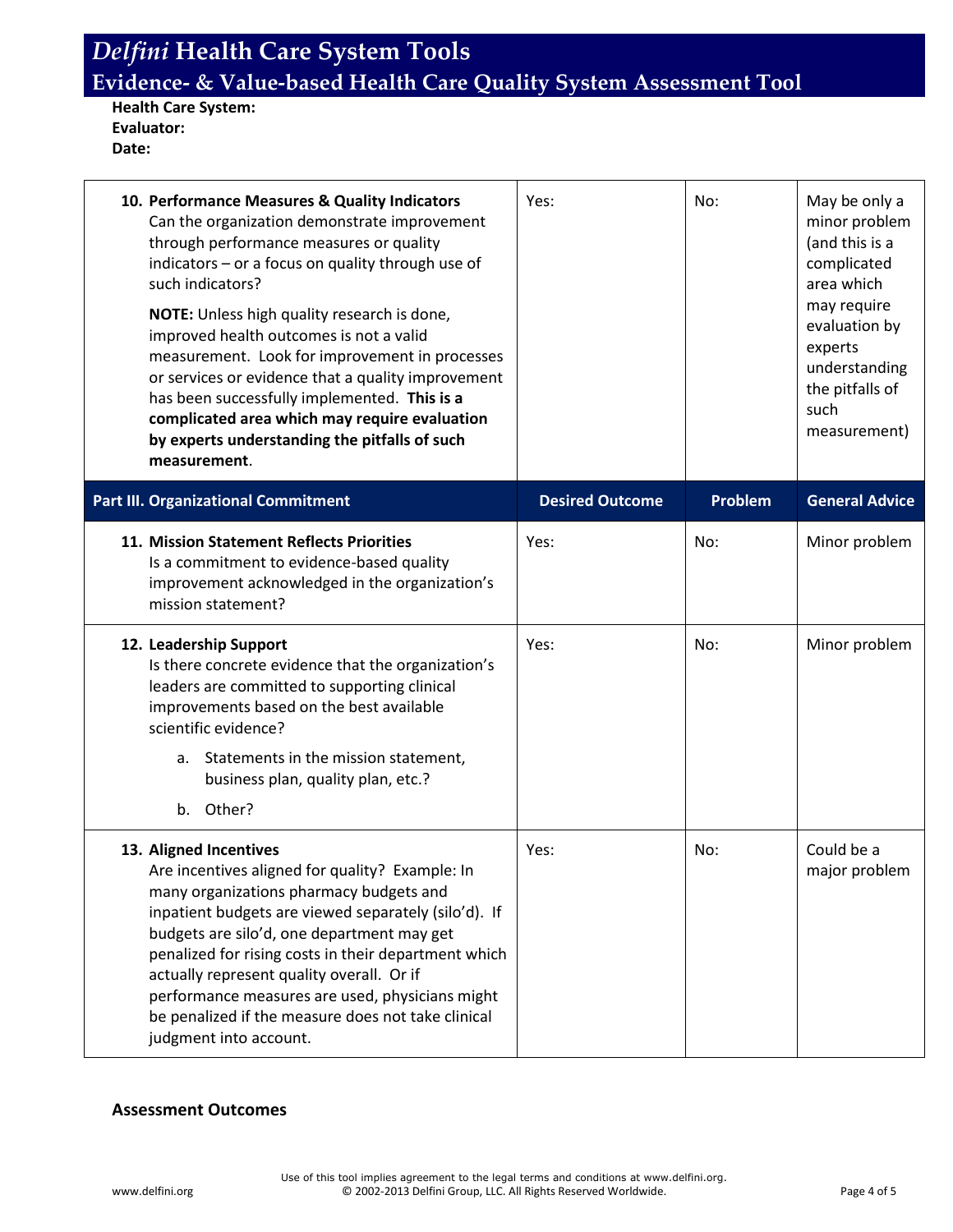**Health Care System: Evaluator: Date:**

| 10. Performance Measures & Quality Indicators<br>Can the organization demonstrate improvement<br>through performance measures or quality<br>indicators - or a focus on quality through use of<br>such indicators?<br>NOTE: Unless high quality research is done,<br>improved health outcomes is not a valid<br>measurement. Look for improvement in processes<br>or services or evidence that a quality improvement<br>has been successfully implemented. This is a<br>complicated area which may require evaluation<br>by experts understanding the pitfalls of such<br>measurement. | Yes:                   | No:     | May be only a<br>minor problem<br>(and this is a<br>complicated<br>area which<br>may require<br>evaluation by<br>experts<br>understanding<br>the pitfalls of<br>such<br>measurement) |
|---------------------------------------------------------------------------------------------------------------------------------------------------------------------------------------------------------------------------------------------------------------------------------------------------------------------------------------------------------------------------------------------------------------------------------------------------------------------------------------------------------------------------------------------------------------------------------------|------------------------|---------|--------------------------------------------------------------------------------------------------------------------------------------------------------------------------------------|
| <b>Part III. Organizational Commitment</b>                                                                                                                                                                                                                                                                                                                                                                                                                                                                                                                                            | <b>Desired Outcome</b> | Problem | <b>General Advice</b>                                                                                                                                                                |
| 11. Mission Statement Reflects Priorities<br>Is a commitment to evidence-based quality<br>improvement acknowledged in the organization's<br>mission statement?                                                                                                                                                                                                                                                                                                                                                                                                                        | Yes:                   | No:     | Minor problem                                                                                                                                                                        |
| 12. Leadership Support<br>Is there concrete evidence that the organization's<br>leaders are committed to supporting clinical<br>improvements based on the best available<br>scientific evidence?                                                                                                                                                                                                                                                                                                                                                                                      | Yes:                   | No:     | Minor problem                                                                                                                                                                        |
| a. Statements in the mission statement,<br>business plan, quality plan, etc.?<br>b. Other?                                                                                                                                                                                                                                                                                                                                                                                                                                                                                            |                        |         |                                                                                                                                                                                      |
| 13. Aligned Incentives<br>Are incentives aligned for quality? Example: In<br>many organizations pharmacy budgets and<br>inpatient budgets are viewed separately (silo'd). If<br>budgets are silo'd, one department may get<br>penalized for rising costs in their department which<br>actually represent quality overall. Or if<br>performance measures are used, physicians might<br>be penalized if the measure does not take clinical<br>judgment into account.                                                                                                                    | Yes:                   | No:     | Could be a<br>major problem                                                                                                                                                          |

#### **Assessment Outcomes**